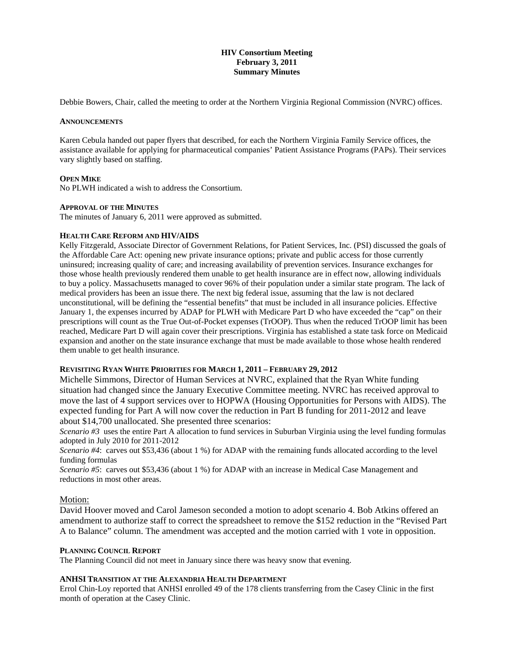# **HIV Consortium Meeting February 3, 2011 Summary Minutes**

Debbie Bowers, Chair, called the meeting to order at the Northern Virginia Regional Commission (NVRC) offices.

### **ANNOUNCEMENTS**

Karen Cebula handed out paper flyers that described, for each the Northern Virginia Family Service offices, the assistance available for applying for pharmaceutical companies' Patient Assistance Programs (PAPs). Their services vary slightly based on staffing.

### **OPEN MIKE**

No PLWH indicated a wish to address the Consortium.

### **APPROVAL OF THE MINUTES**

The minutes of January 6, 2011 were approved as submitted.

### **HEALTH CARE REFORM AND HIV/AIDS**

Kelly Fitzgerald, Associate Director of Government Relations, for Patient Services, Inc. (PSI) discussed the goals of the Affordable Care Act: opening new private insurance options; private and public access for those currently uninsured; increasing quality of care; and increasing availability of prevention services. Insurance exchanges for those whose health previously rendered them unable to get health insurance are in effect now, allowing individuals to buy a policy. Massachusetts managed to cover 96% of their population under a similar state program. The lack of medical providers has been an issue there. The next big federal issue, assuming that the law is not declared unconstitutional, will be defining the "essential benefits" that must be included in all insurance policies. Effective January 1, the expenses incurred by ADAP for PLWH with Medicare Part D who have exceeded the "cap" on their prescriptions will count as the True Out-of-Pocket expenses (TrOOP). Thus when the reduced TrOOP limit has been reached, Medicare Part D will again cover their prescriptions. Virginia has established a state task force on Medicaid expansion and another on the state insurance exchange that must be made available to those whose health rendered them unable to get health insurance.

# **REVISITING RYAN WHITE PRIORITIES FOR MARCH 1, 2011 – FEBRUARY 29, 2012**

Michelle Simmons, Director of Human Services at NVRC, explained that the Ryan White funding situation had changed since the January Executive Committee meeting. NVRC has received approval to move the last of 4 support services over to HOPWA (Housing Opportunities for Persons with AIDS). The expected funding for Part A will now cover the reduction in Part B funding for 2011-2012 and leave about \$14,700 unallocated. She presented three scenarios:

*Scenario #3* uses the entire Part A allocation to fund services in Suburban Virginia using the level funding formulas adopted in July 2010 for 2011-2012

*Scenario #4*: carves out \$53,436 (about 1 %) for ADAP with the remaining funds allocated according to the level funding formulas

*Scenario #5*: carves out \$53,436 (about 1 %) for ADAP with an increase in Medical Case Management and reductions in most other areas.

# Motion:

David Hoover moved and Carol Jameson seconded a motion to adopt scenario 4. Bob Atkins offered an amendment to authorize staff to correct the spreadsheet to remove the \$152 reduction in the "Revised Part A to Balance" column. The amendment was accepted and the motion carried with 1 vote in opposition.

# **PLANNING COUNCIL REPORT**

The Planning Council did not meet in January since there was heavy snow that evening.

# **ANHSI TRANSITION AT THE ALEXANDRIA HEALTH DEPARTMENT**

Errol Chin-Loy reported that ANHSI enrolled 49 of the 178 clients transferring from the Casey Clinic in the first month of operation at the Casey Clinic.